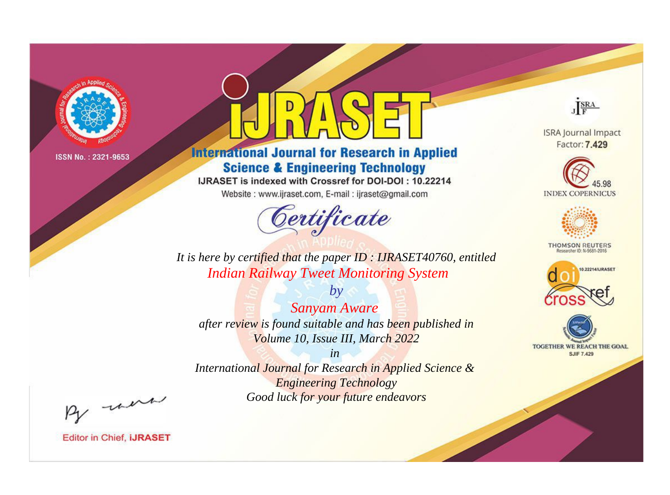

# **International Journal for Research in Applied Science & Engineering Technology**

IJRASET is indexed with Crossref for DOI-DOI: 10.22214

Website: www.ijraset.com, E-mail: ijraset@gmail.com



JERA

**ISRA Journal Impact** Factor: 7.429





**THOMSON REUTERS** 



TOGETHER WE REACH THE GOAL **SJIF 7.429** 

It is here by certified that the paper ID: IJRASET40760, entitled **Indian Railway Tweet Monitoring System** 

**Sanyam Aware** after review is found suitable and has been published in Volume 10, Issue III, March 2022

 $by$ 

 $in$ International Journal for Research in Applied Science & **Engineering Technology** Good luck for your future endeavors

By morn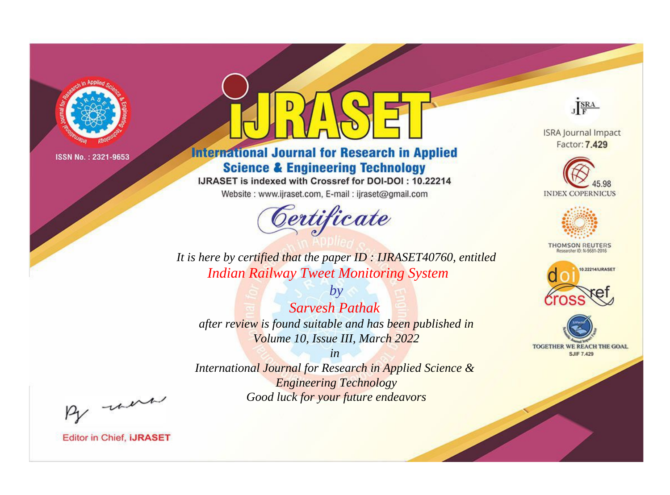

# **International Journal for Research in Applied Science & Engineering Technology**

IJRASET is indexed with Crossref for DOI-DOI: 10.22214

Website: www.ijraset.com, E-mail: ijraset@gmail.com



JERA

**ISRA Journal Impact** Factor: 7.429





**THOMSON REUTERS** 



TOGETHER WE REACH THE GOAL **SJIF 7.429** 

It is here by certified that the paper ID: IJRASET40760, entitled **Indian Railway Tweet Monitoring System** 

 $b\nu$ **Sarvesh Pathak** after review is found suitable and has been published in Volume 10, Issue III, March 2022

 $in$ International Journal for Research in Applied Science & **Engineering Technology** Good luck for your future endeavors

By morn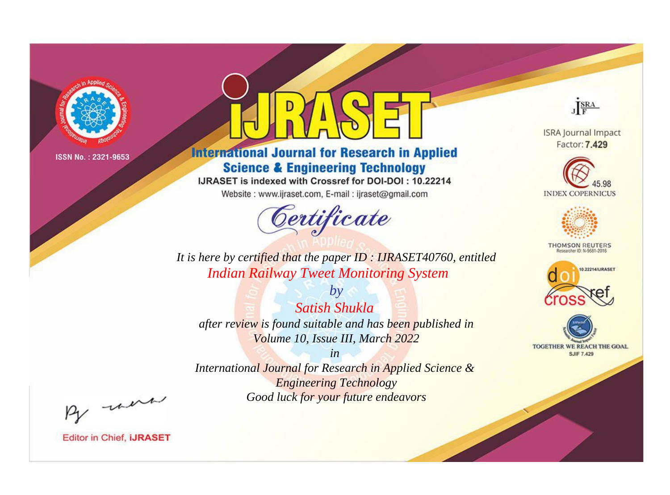

# **International Journal for Research in Applied Science & Engineering Technology**

IJRASET is indexed with Crossref for DOI-DOI: 10.22214

Website: www.ijraset.com, E-mail: ijraset@gmail.com



JERA

**ISRA Journal Impact** Factor: 7.429





**THOMSON REUTERS** 



TOGETHER WE REACH THE GOAL **SJIF 7.429** 

It is here by certified that the paper ID: IJRASET40760, entitled **Indian Railway Tweet Monitoring System** 

**Satish Shukla** after review is found suitable and has been published in Volume 10, Issue III, March 2022

 $b\nu$ 

 $in$ International Journal for Research in Applied Science & **Engineering Technology** Good luck for your future endeavors

By morn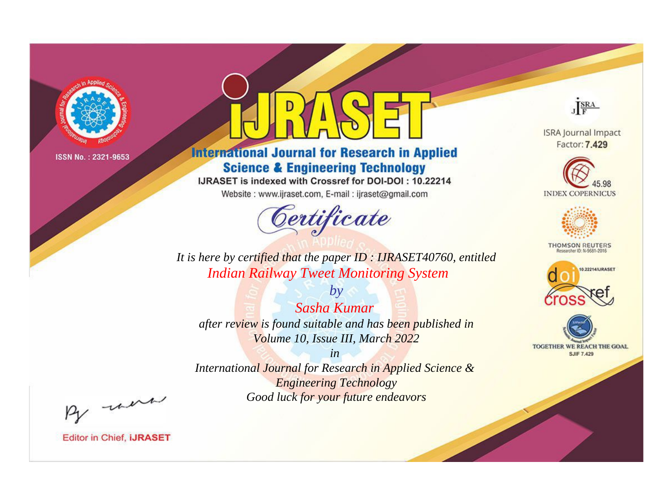

# **International Journal for Research in Applied Science & Engineering Technology**

IJRASET is indexed with Crossref for DOI-DOI: 10.22214

Website: www.ijraset.com, E-mail: ijraset@gmail.com



JERA

**ISRA Journal Impact** Factor: 7.429





**THOMSON REUTERS** 



TOGETHER WE REACH THE GOAL **SJIF 7.429** 

*It is here by certified that the paper ID : IJRASET40760, entitled Indian Railway Tweet Monitoring System*

*Sasha Kumar after review is found suitable and has been published in Volume 10, Issue III, March 2022*

*by*

*in* 

*International Journal for Research in Applied Science & Engineering Technology Good luck for your future endeavors*

By morn